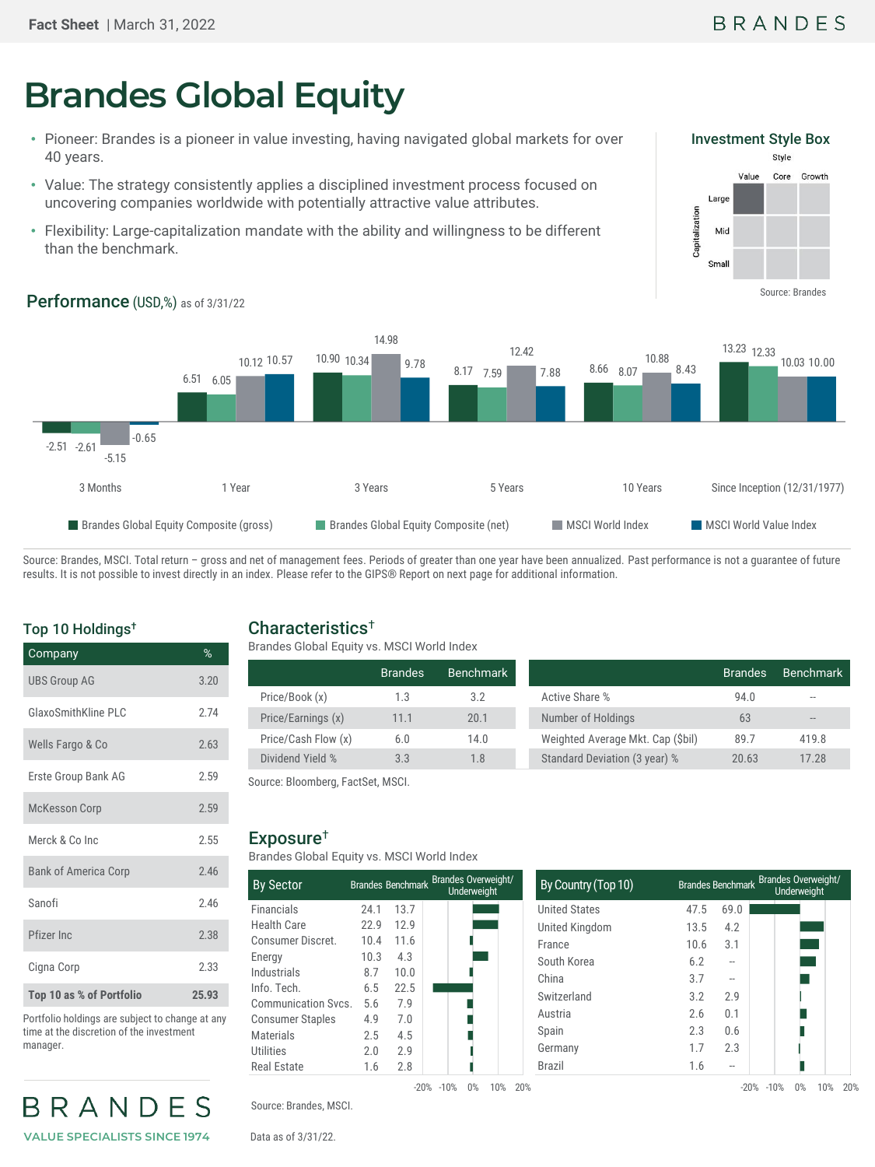# **Brandes Global Equity**

- Pioneer: Brandes is a pioneer in value investing, having navigated global markets for over 40 years.
- Value: The strategy consistently applies a disciplined investment process focused on uncovering companies worldwide with potentially attractive value attributes.
- Flexibility: Large-capitalization mandate with the ability and willingness to be different than the benchmark.



## Performance (USD,%) as of 3/31/22



Source: Brandes, MSCI. Total return - gross and net of management fees. Periods of greater than one year have been annualized. Past performance is not a guarantee of future results. It is not possible to invest directly in an index. Please refer to the GIPS® Report on next page for additional information.

### Top 10 Holdings†

| Company                     | %     |
|-----------------------------|-------|
| <b>UBS Group AG</b>         | 3.20  |
| GlaxoSmithKline PLC         | 2.74  |
| Wells Fargo & Co            | 2.63  |
| Erste Group Bank AG         | 2.59  |
| <b>McKesson Corp</b>        | 2.59  |
| Merck & Co Inc.             | 2.55  |
| <b>Bank of America Corp</b> | 2.46  |
| Sanofi                      | 2.46  |
| Pfizer Inc                  | 2.38  |
| Cigna Corp                  | 2.33  |
| Top 10 as % of Portfolio    | 25.93 |

Portfolio holdings are subject to change at any time at the discretion of the investment manager.



#### Characteristics†

| Brandes Global Equity vs. MSCI World Index |                |           |                                   |                |           |
|--------------------------------------------|----------------|-----------|-----------------------------------|----------------|-----------|
|                                            | <b>Brandes</b> | Benchmark |                                   | <b>Brandes</b> | Benchmark |
| Price/Book (x)                             | 1.3            | 3.2       | Active Share %                    | 94.0           |           |
| Price/Earnings (x)                         | 11.1           | 20.1      | Number of Holdings                | 63             | --        |
| Price/Cash Flow (x)                        | 6.0            | 14.0      | Weighted Average Mkt. Cap (\$bil) | 89.7           | 419.8     |
| Dividend Yield %                           | 3.3            | 1.8       | Standard Deviation (3 year) %     | 20.63          | 17.28     |

Source: Bloomberg, FactSet, MSCI.

#### Exposure†

Brandes Global Equity vs. MSCI World Index

| <b>By Sector</b>        |      |      | Brandes Benchmark Brandes Overweight/<br>Underweight | By Country (Top 10)  |
|-------------------------|------|------|------------------------------------------------------|----------------------|
| Financials              | 24.1 | 13.7 |                                                      | <b>United States</b> |
| <b>Health Care</b>      | 22.9 | 12.9 |                                                      | United Kingdom       |
| Consumer Discret.       | 10.4 | 11.6 |                                                      | France               |
| Energy                  | 10.3 | 4.3  |                                                      | South Korea          |
| Industrials             | 8.7  | 10.0 |                                                      | China                |
| Info. Tech.             | 6.5  | 22.5 |                                                      | Switzerland          |
| Communication Sycs.     | 5.6  | 7.9  |                                                      |                      |
| <b>Consumer Staples</b> | 4.9  | 7.0  |                                                      | Austria              |
| <b>Materials</b>        | 2.5  | 4.5  |                                                      | Spain                |
| <b>Utilities</b>        | 2.0  | 2.9  |                                                      | Germany              |
| <b>Real Estate</b>      | 1.6  | 2.8  |                                                      | <b>Brazil</b>        |
|                         |      |      | 0%<br>10%<br>$-20\% -10\%$                           | 20%                  |

|      | <b>Underweight</b>               | By Country (Top 10)  |                                                           |      | Brandes Benchmark Brandes Overweight/<br><b>Underweight</b> |
|------|----------------------------------|----------------------|-----------------------------------------------------------|------|-------------------------------------------------------------|
| 13.7 |                                  | <b>United States</b> | 47.5                                                      | 69.0 |                                                             |
| 12.9 |                                  | United Kingdom       | 13.5                                                      | 4.2  |                                                             |
| 11.6 |                                  | France               | 10.6                                                      | 3.1  |                                                             |
| 4.3  |                                  | South Korea          | 6.2                                                       | --   |                                                             |
| 10.0 |                                  | China                |                                                           | --   |                                                             |
|      |                                  | Switzerland          | 3.2                                                       | 2.9  |                                                             |
|      |                                  | Austria              | 2.6                                                       | 0.1  |                                                             |
|      |                                  |                      | 2.3                                                       | 0.6  |                                                             |
|      |                                  |                      | 1.7                                                       | 2.3  |                                                             |
| 2.8  |                                  | <b>Brazil</b>        | 1.6                                                       | --   |                                                             |
|      | 22.5<br>7.9<br>7.0<br>4.5<br>2.9 |                      | Brandes Benchmark Brandes Overweight/<br>Spain<br>Germany | 3.7  |                                                             |

Source: Brandes, MSCI.

Data as of 3/31/22.